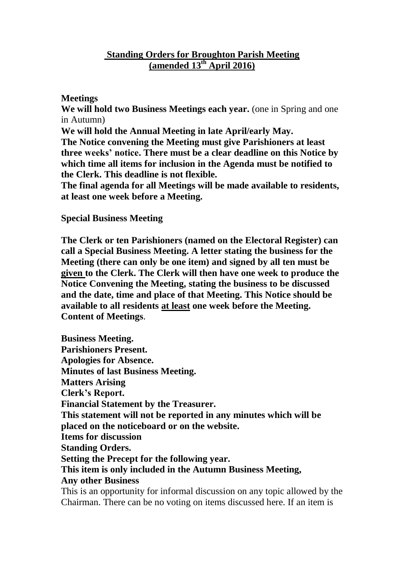## **Standing Orders for Broughton Parish Meeting (amended 13 th April 2016)**

## **Meetings**

**We will hold two Business Meetings each year.** (one in Spring and one in Autumn)

**We will hold the Annual Meeting in late April/early May.**

**The Notice convening the Meeting must give Parishioners at least three weeks' notice. There must be a clear deadline on this Notice by which time all items for inclusion in the Agenda must be notified to the Clerk. This deadline is not flexible.**

**The final agenda for all Meetings will be made available to residents, at least one week before a Meeting.**

## **Special Business Meeting**

**The Clerk or ten Parishioners (named on the Electoral Register) can call a Special Business Meeting. A letter stating the business for the Meeting (there can only be one item) and signed by all ten must be given to the Clerk. The Clerk will then have one week to produce the Notice Convening the Meeting, stating the business to be discussed and the date, time and place of that Meeting. This Notice should be available to all residents at least one week before the Meeting. Content of Meetings**.

**Business Meeting. Parishioners Present. Apologies for Absence. Minutes of last Business Meeting. Matters Arising Clerk's Report. Financial Statement by the Treasurer. This statement will not be reported in any minutes which will be placed on the noticeboard or on the website. Items for discussion Standing Orders. Setting the Precept for the following year. This item is only included in the Autumn Business Meeting, Any other Business** This is an opportunity for informal discussion on any topic allowed by the Chairman. There can be no voting on items discussed here. If an item is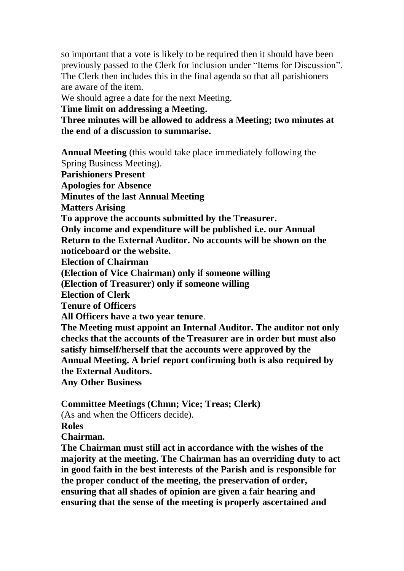so important that a vote is likely to be required then it should have been previously passed to the Clerk for inclusion under "Items for Discussion". The Clerk then includes this in the final agenda so that all parishioners are aware of the item.

We should agree a date for the next Meeting.

**Time limit on addressing a Meeting.**

**Three minutes will be allowed to address a Meeting; two minutes at the end of a discussion to summarise.**

**Annual Meeting** (this would take place immediately following the Spring Business Meeting). **Parishioners Present Apologies for Absence Minutes of the last Annual Meeting Matters Arising To approve the accounts submitted by the Treasurer. Only income and expenditure will be published i.e. our Annual Return to the External Auditor. No accounts will be shown on the noticeboard or the website. Election of Chairman (Election of Vice Chairman) only if someone willing (Election of Treasurer) only if someone willing Election of Clerk Tenure of Officers All Officers have a two year tenure**. **The Meeting must appoint an Internal Auditor. The auditor not only checks that the accounts of the Treasurer are in order but must also satisfy himself/herself that the accounts were approved by the Annual Meeting. A brief report confirming both is also required by the External Auditors. Any Other Business**

**Committee Meetings (Chmn; Vice; Treas; Clerk)**

(As and when the Officers decide).

**Roles**

**Chairman.**

**The Chairman must still act in accordance with the wishes of the majority at the meeting. The Chairman has an overriding duty to act in good faith in the best interests of the Parish and is responsible for the proper conduct of the meeting, the preservation of order, ensuring that all shades of opinion are given a fair hearing and ensuring that the sense of the meeting is properly ascertained and**